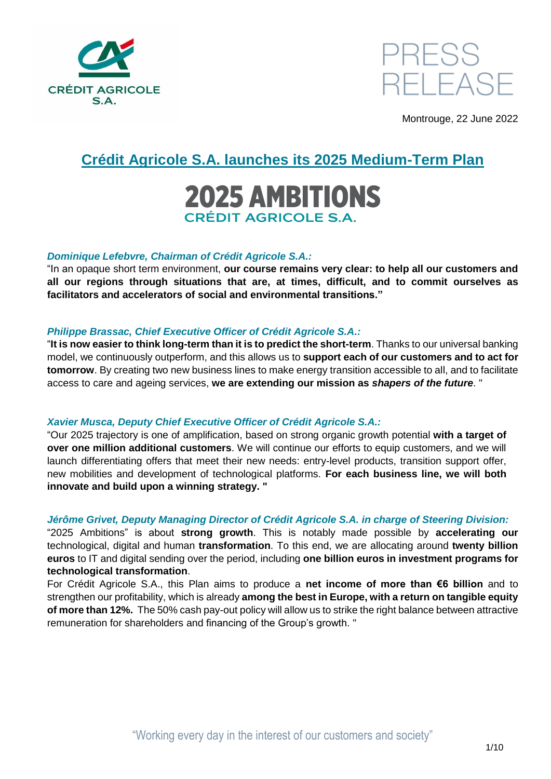



Montrouge, 22 June 2022

## **Crédit Agricole S.A. launches its 2025 Medium-Term Plan**

# **2025 AMBITIONS CRÉDIT AGRICOLE S.A.**

#### *Dominique Lefebvre, Chairman of Crédit Agricole S.A.:*

"In an opaque short term environment, **our course remains very clear: to help all our customers and all our regions through situations that are, at times, difficult, and to commit ourselves as facilitators and accelerators of social and environmental transitions."**

#### *Philippe Brassac, Chief Executive Officer of Crédit Agricole S.A.:*

"**It is now easier to think long-term than it is to predict the short-term**. Thanks to our universal banking model, we continuously outperform, and this allows us to **support each of our customers and to act for tomorrow**. By creating two new business lines to make energy transition accessible to all, and to facilitate access to care and ageing services, **we are extending our mission as** *shapers of the future*. "

#### *Xavier Musca, Deputy Chief Executive Officer of Crédit Agricole S.A.:*

"Our 2025 trajectory is one of amplification, based on strong organic growth potential **with a target of over one million additional customers**. We will continue our efforts to equip customers, and we will launch differentiating offers that meet their new needs: entry-level products, transition support offer, new mobilities and development of technological platforms. **For each business line, we will both innovate and build upon a winning strategy. "**

#### *Jérôme Grivet, Deputy Managing Director of Crédit Agricole S.A. in charge of Steering Division:*

"2025 Ambitions" is about **strong growth**. This is notably made possible by **accelerating our** technological, digital and human **transformation**. To this end, we are allocating around **twenty billion euros** to IT and digital sending over the period, including **one billion euros in investment programs for technological transformation**.

For Crédit Agricole S.A., this Plan aims to produce a **net income of more than €6 billion** and to strengthen our profitability, which is already **among the best in Europe, with a return on tangible equity of more than 12%.** The 50% cash pay-out policy will allow us to strike the right balance between attractive remuneration for shareholders and financing of the Group's growth. "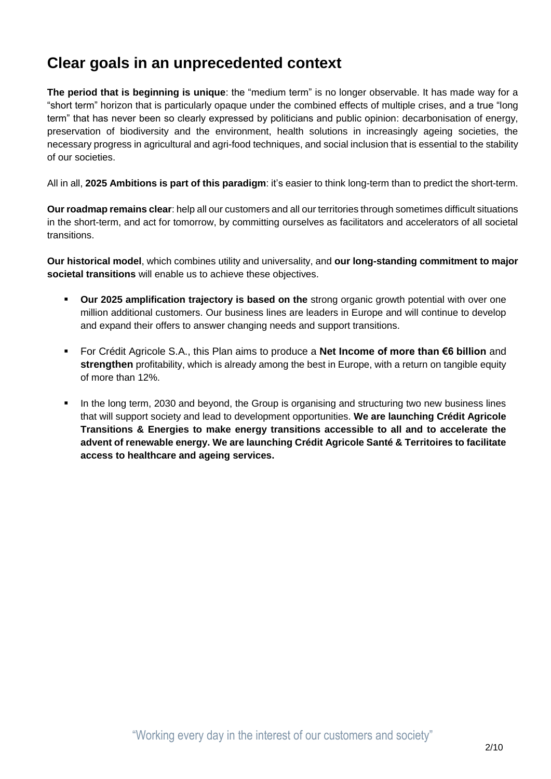## **Clear goals in an unprecedented context**

**The period that is beginning is unique**: the "medium term" is no longer observable. It has made way for a "short term" horizon that is particularly opaque under the combined effects of multiple crises, and a true "long term" that has never been so clearly expressed by politicians and public opinion: decarbonisation of energy, preservation of biodiversity and the environment, health solutions in increasingly ageing societies, the necessary progress in agricultural and agri-food techniques, and social inclusion that is essential to the stability of our societies.

All in all, **2025 Ambitions is part of this paradigm**: it's easier to think long-term than to predict the short-term.

**Our roadmap remains clear**: help all our customers and all our territories through sometimes difficult situations in the short-term, and act for tomorrow, by committing ourselves as facilitators and accelerators of all societal transitions.

**Our historical model**, which combines utility and universality, and **our long-standing commitment to major societal transitions** will enable us to achieve these objectives.

- **Our 2025 amplification trajectory is based on the** strong organic growth potential with over one million additional customers. Our business lines are leaders in Europe and will continue to develop and expand their offers to answer changing needs and support transitions.
- For Crédit Agricole S.A., this Plan aims to produce a **Net Income of more than €6 billion** and **strengthen** profitability, which is already among the best in Europe, with a return on tangible equity of more than 12%.
- In the long term, 2030 and beyond, the Group is organising and structuring two new business lines that will support society and lead to development opportunities. **We are launching Crédit Agricole Transitions & Energies to make energy transitions accessible to all and to accelerate the advent of renewable energy. We are launching Crédit Agricole Santé & Territoires to facilitate access to healthcare and ageing services.**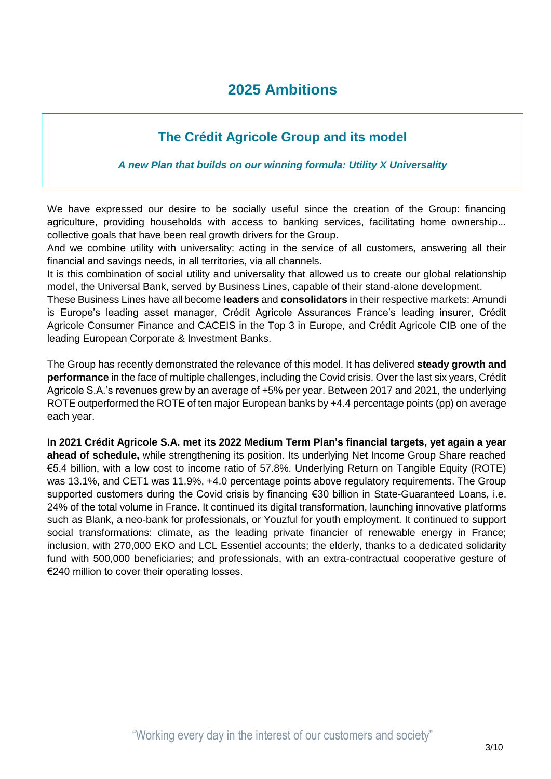## **2025 Ambitions**

## **The Crédit Agricole Group and its model**

#### *A new Plan that builds on our winning formula: Utility X Universality*

We have expressed our desire to be socially useful since the creation of the Group: financing agriculture, providing households with access to banking services, facilitating home ownership... collective goals that have been real growth drivers for the Group.

And we combine utility with universality: acting in the service of all customers, answering all their financial and savings needs, in all territories, via all channels.

It is this combination of social utility and universality that allowed us to create our global relationship model, the Universal Bank, served by Business Lines, capable of their stand-alone development.

These Business Lines have all become **leaders** and **consolidators** in their respective markets: Amundi is Europe's leading asset manager, Crédit Agricole Assurances France's leading insurer, Crédit Agricole Consumer Finance and CACEIS in the Top 3 in Europe, and Crédit Agricole CIB one of the leading European Corporate & Investment Banks.

The Group has recently demonstrated the relevance of this model. It has delivered **steady growth and performance** in the face of multiple challenges, including the Covid crisis. Over the last six years, Crédit Agricole S.A.'s revenues grew by an average of +5% per year. Between 2017 and 2021, the underlying ROTE outperformed the ROTE of ten major European banks by +4.4 percentage points (pp) on average each year.

**In 2021 Crédit Agricole S.A. met its 2022 Medium Term Plan's financial targets, yet again a year ahead of schedule,** while strengthening its position. Its underlying Net Income Group Share reached €5.4 billion, with a low cost to income ratio of 57.8%. Underlying Return on Tangible Equity (ROTE) was 13.1%, and CET1 was 11.9%, +4.0 percentage points above regulatory requirements. The Group supported customers during the Covid crisis by financing €30 billion in State-Guaranteed Loans, i.e. 24% of the total volume in France. It continued its digital transformation, launching innovative platforms such as Blank, a neo-bank for professionals, or Youzful for youth employment. It continued to support social transformations: climate, as the leading private financier of renewable energy in France; inclusion, with 270,000 EKO and LCL Essentiel accounts; the elderly, thanks to a dedicated solidarity fund with 500,000 beneficiaries; and professionals, with an extra-contractual cooperative gesture of €240 million to cover their operating losses.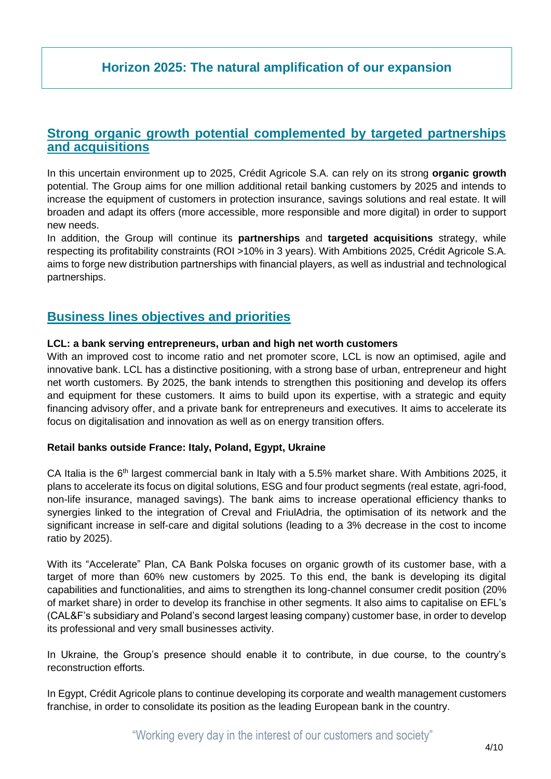## **Horizon 2025: The natural amplification of our expansion**

### **Strong organic growth potential complemented by targeted partnerships and acquisitions**

In this uncertain environment up to 2025, Crédit Agricole S.A. can rely on its strong **organic growth** potential. The Group aims for one million additional retail banking customers by 2025 and intends to increase the equipment of customers in protection insurance, savings solutions and real estate. It will broaden and adapt its offers (more accessible, more responsible and more digital) in order to support new needs.

In addition, the Group will continue its **partnerships** and **targeted acquisitions** strategy, while respecting its profitability constraints (ROI >10% in 3 years). With Ambitions 2025, Crédit Agricole S.A. aims to forge new distribution partnerships with financial players, as well as industrial and technological partnerships.

## **Business lines objectives and priorities**

#### **LCL: a bank serving entrepreneurs, urban and high net worth customers**

With an improved cost to income ratio and net promoter score, LCL is now an optimised, agile and innovative bank. LCL has a distinctive positioning, with a strong base of urban, entrepreneur and hight net worth customers. By 2025, the bank intends to strengthen this positioning and develop its offers and equipment for these customers. It aims to build upon its expertise, with a strategic and equity financing advisory offer, and a private bank for entrepreneurs and executives. It aims to accelerate its focus on digitalisation and innovation as well as on energy transition offers.

#### **Retail banks outside France: Italy, Poland, Egypt, Ukraine**

CA Italia is the 6<sup>th</sup> largest commercial bank in Italy with a 5.5% market share. With Ambitions 2025, it plans to accelerate its focus on digital solutions, ESG and four product segments (real estate, agri-food, non-life insurance, managed savings). The bank aims to increase operational efficiency thanks to synergies linked to the integration of Creval and FriulAdria, the optimisation of its network and the significant increase in self-care and digital solutions (leading to a 3% decrease in the cost to income ratio by 2025).

With its "Accelerate" Plan, CA Bank Polska focuses on organic growth of its customer base, with a target of more than 60% new customers by 2025. To this end, the bank is developing its digital capabilities and functionalities, and aims to strengthen its long-channel consumer credit position (20% of market share) in order to develop its franchise in other segments. It also aims to capitalise on EFL's (CAL&F's subsidiary and Poland's second largest leasing company) customer base, in order to develop its professional and very small businesses activity.

In Ukraine, the Group's presence should enable it to contribute, in due course, to the country's reconstruction efforts.

In Egypt, Crédit Agricole plans to continue developing its corporate and wealth management customers franchise, in order to consolidate its position as the leading European bank in the country.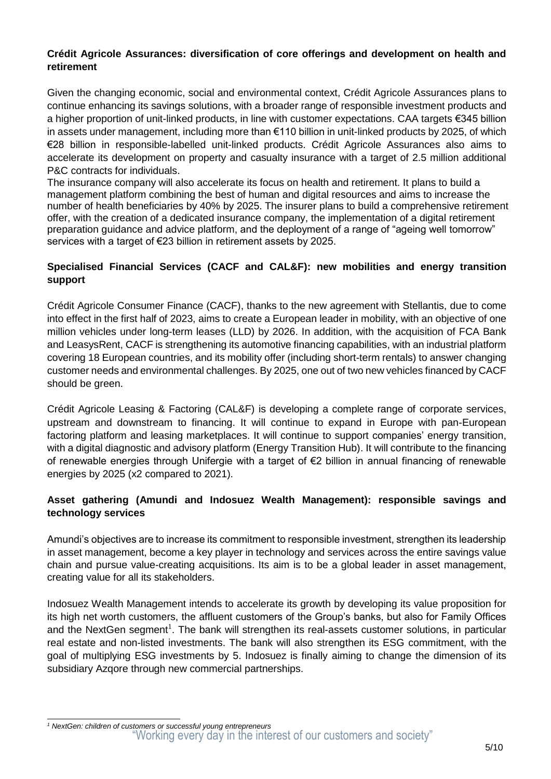#### **Crédit Agricole Assurances: diversification of core offerings and development on health and retirement**

Given the changing economic, social and environmental context, Crédit Agricole Assurances plans to continue enhancing its savings solutions, with a broader range of responsible investment products and a higher proportion of unit-linked products, in line with customer expectations. CAA targets €345 billion in assets under management, including more than €110 billion in unit-linked products by 2025, of which €28 billion in responsible-labelled unit-linked products. Crédit Agricole Assurances also aims to accelerate its development on property and casualty insurance with a target of 2.5 million additional P&C contracts for individuals.

The insurance company will also accelerate its focus on health and retirement. It plans to build a management platform combining the best of human and digital resources and aims to increase the number of health beneficiaries by 40% by 2025. The insurer plans to build a comprehensive retirement offer, with the creation of a dedicated insurance company, the implementation of a digital retirement preparation guidance and advice platform, and the deployment of a range of "ageing well tomorrow" services with a target of €23 billion in retirement assets by 2025.

#### **Specialised Financial Services (CACF and CAL&F): new mobilities and energy transition support**

Crédit Agricole Consumer Finance (CACF), thanks to the new agreement with Stellantis, due to come into effect in the first half of 2023, aims to create a European leader in mobility, with an objective of one million vehicles under long-term leases (LLD) by 2026. In addition, with the acquisition of FCA Bank and LeasysRent, CACF is strengthening its automotive financing capabilities, with an industrial platform covering 18 European countries, and its mobility offer (including short-term rentals) to answer changing customer needs and environmental challenges. By 2025, one out of two new vehicles financed by CACF should be green.

Crédit Agricole Leasing & Factoring (CAL&F) is developing a complete range of corporate services, upstream and downstream to financing. It will continue to expand in Europe with pan-European factoring platform and leasing marketplaces. It will continue to support companies' energy transition, with a digital diagnostic and advisory platform (Energy Transition Hub). It will contribute to the financing of renewable energies through Unifergie with a target of €2 billion in annual financing of renewable energies by 2025 (x2 compared to 2021).

#### **Asset gathering (Amundi and Indosuez Wealth Management): responsible savings and technology services**

Amundi's objectives are to increase its commitment to responsible investment, strengthen its leadership in asset management, become a key player in technology and services across the entire savings value chain and pursue value-creating acquisitions. Its aim is to be a global leader in asset management, creating value for all its stakeholders.

Indosuez Wealth Management intends to accelerate its growth by developing its value proposition for its high net worth customers, the affluent customers of the Group's banks, but also for Family Offices and the NextGen segment<sup>1</sup>. The bank will strengthen its real-assets customer solutions, in particular real estate and non-listed investments. The bank will also strengthen its ESG commitment, with the goal of multiplying ESG investments by 5. Indosuez is finally aiming to change the dimension of its subsidiary Azqore through new commercial partnerships.

<sup>&</sup>quot;Working every day in the interest of our customers and society" -*<sup>1</sup> NextGen: children of customers or successful young entrepreneurs*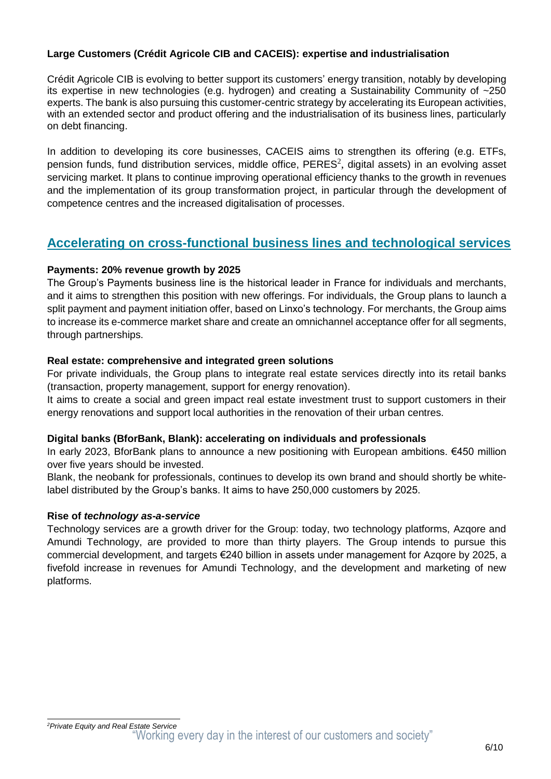#### **Large Customers (Crédit Agricole CIB and CACEIS): expertise and industrialisation**

Crédit Agricole CIB is evolving to better support its customers' energy transition, notably by developing its expertise in new technologies (e.g. hydrogen) and creating a Sustainability Community of ~250 experts. The bank is also pursuing this customer-centric strategy by accelerating its European activities, with an extended sector and product offering and the industrialisation of its business lines, particularly on debt financing.

In addition to developing its core businesses, CACEIS aims to strengthen its offering (e.g. ETFs, pension funds, fund distribution services, middle office, PERES<sup>2</sup>, digital assets) in an evolving asset servicing market. It plans to continue improving operational efficiency thanks to the growth in revenues and the implementation of its group transformation project, in particular through the development of competence centres and the increased digitalisation of processes.

## **Accelerating on cross-functional business lines and technological services**

#### **Payments: 20% revenue growth by 2025**

The Group's Payments business line is the historical leader in France for individuals and merchants, and it aims to strengthen this position with new offerings. For individuals, the Group plans to launch a split payment and payment initiation offer, based on Linxo's technology. For merchants, the Group aims to increase its e-commerce market share and create an omnichannel acceptance offer for all segments, through partnerships.

#### **Real estate: comprehensive and integrated green solutions**

For private individuals, the Group plans to integrate real estate services directly into its retail banks (transaction, property management, support for energy renovation).

It aims to create a social and green impact real estate investment trust to support customers in their energy renovations and support local authorities in the renovation of their urban centres.

#### **Digital banks (BforBank, Blank): accelerating on individuals and professionals**

In early 2023, BforBank plans to announce a new positioning with European ambitions. €450 million over five years should be invested.

Blank, the neobank for professionals, continues to develop its own brand and should shortly be whitelabel distributed by the Group's banks. It aims to have 250,000 customers by 2025.

#### **Rise of** *technology as-a-service*

Technology services are a growth driver for the Group: today, two technology platforms, Azqore and Amundi Technology, are provided to more than thirty players. The Group intends to pursue this commercial development, and targets €240 billion in assets under management for Azqore by 2025, a fivefold increase in revenues for Amundi Technology, and the development and marketing of new platforms.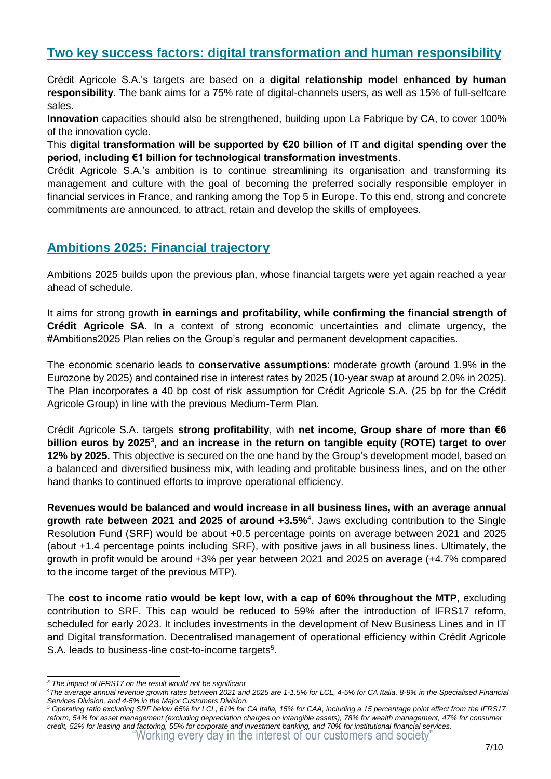## **Two key success factors: digital transformation and human responsibility**

Crédit Agricole S.A.'s targets are based on a **digital relationship model enhanced by human responsibility**. The bank aims for a 75% rate of digital-channels users, as well as 15% of full-selfcare sales.

**Innovation** capacities should also be strengthened, building upon La Fabrique by CA, to cover 100% of the innovation cycle.

This **digital transformation will be supported by €20 billion of IT and digital spending over the period, including €1 billion for technological transformation investments**.

Crédit Agricole S.A.'s ambition is to continue streamlining its organisation and transforming its management and culture with the goal of becoming the preferred socially responsible employer in financial services in France, and ranking among the Top 5 in Europe. To this end, strong and concrete commitments are announced, to attract, retain and develop the skills of employees.

## **Ambitions 2025: Financial trajectory**

Ambitions 2025 builds upon the previous plan, whose financial targets were yet again reached a year ahead of schedule.

It aims for strong growth **in earnings and profitability, while confirming the financial strength of Crédit Agricole SA**. In a context of strong economic uncertainties and climate urgency, the #Ambitions2025 Plan relies on the Group's regular and permanent development capacities.

The economic scenario leads to **conservative assumptions**: moderate growth (around 1.9% in the Eurozone by 2025) and contained rise in interest rates by 2025 (10-year swap at around 2.0% in 2025). The Plan incorporates a 40 bp cost of risk assumption for Crédit Agricole S.A. (25 bp for the Crédit Agricole Group) in line with the previous Medium-Term Plan.

Crédit Agricole S.A. targets **strong profitability**, with **net income, Group share of more than €6 billion euros by 2025<sup>3</sup> , and an increase in the return on tangible equity (ROTE) target to over 12% by 2025.** This objective is secured on the one hand by the Group's development model, based on a balanced and diversified business mix, with leading and profitable business lines, and on the other hand thanks to continued efforts to improve operational efficiency.

**Revenues would be balanced and would increase in all business lines, with an average annual growth rate between 2021 and 2025 of around +3.5%**<sup>4</sup> . Jaws excluding contribution to the Single Resolution Fund (SRF) would be about +0.5 percentage points on average between 2021 and 2025 (about +1.4 percentage points including SRF), with positive jaws in all business lines. Ultimately, the growth in profit would be around +3% per year between 2021 and 2025 on average (+4.7% compared to the income target of the previous MTP).

The **cost to income ratio would be kept low, with a cap of 60% throughout the MTP**, excluding contribution to SRF. This cap would be reduced to 59% after the introduction of IFRS17 reform, scheduled for early 2023. It includes investments in the development of New Business Lines and in IT and Digital transformation. Decentralised management of operational efficiency within Crédit Agricole S.A. leads to business-line cost-to-income targets<sup>5</sup>.

<sup>-</sup>*<sup>3</sup> The impact of IFRS17 on the result would not be significant*

*<sup>4</sup>The average annual revenue growth rates between 2021 and 2025 are 1-1.5% for LCL, 4-5% for CA Italia, 8-9% in the Specialised Financial Services Division, and 4-5% in the Major Customers Division.*

<sup>&</sup>quot;Working every day in the interest of our customers and society" *<sup>5</sup> Operating ratio excluding SRF below 65% for LCL, 61% for CA Italia, 15% for CAA, including a 15 percentage point effect from the IFRS17 reform, 54% for asset management (excluding depreciation charges on intangible assets), 78% for wealth management, 47% for consumer credit, 52% for leasing and factoring, 55% for corporate and investment banking, and 70% for institutional financial services.*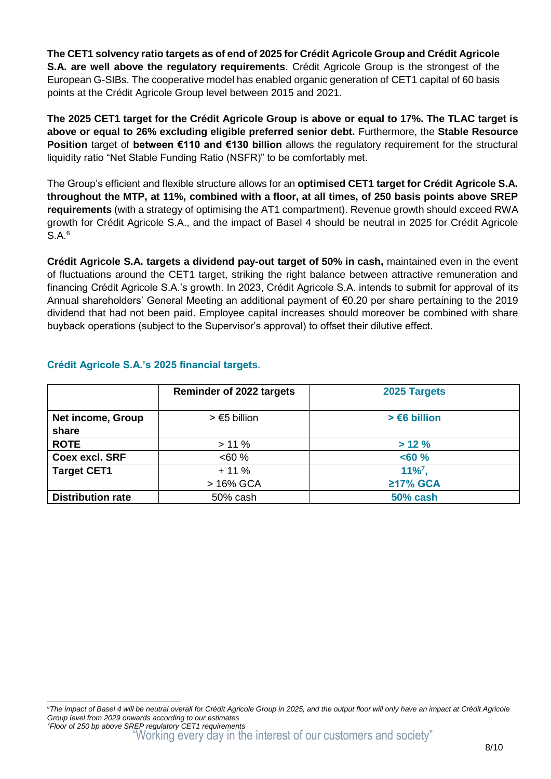**The CET1 solvency ratio targets as of end of 2025 for Crédit Agricole Group and Crédit Agricole S.A. are well above the regulatory requirements**. Crédit Agricole Group is the strongest of the European G-SIBs. The cooperative model has enabled organic generation of CET1 capital of 60 basis points at the Crédit Agricole Group level between 2015 and 2021.

**The 2025 CET1 target for the Crédit Agricole Group is above or equal to 17%. The TLAC target is above or equal to 26% excluding eligible preferred senior debt.** Furthermore, the **Stable Resource Position** target of **between €110 and €130 billion** allows the regulatory requirement for the structural liquidity ratio "Net Stable Funding Ratio (NSFR)" to be comfortably met.

The Group's efficient and flexible structure allows for an **optimised CET1 target for Crédit Agricole S.A. throughout the MTP, at 11%, combined with a floor, at all times, of 250 basis points above SREP requirements** (with a strategy of optimising the AT1 compartment). Revenue growth should exceed RWA growth for Crédit Agricole S.A., and the impact of Basel 4 should be neutral in 2025 for Crédit Agricole S.A.<sup>6</sup>

**Crédit Agricole S.A. targets a dividend pay-out target of 50% in cash,** maintained even in the event of fluctuations around the CET1 target, striking the right balance between attractive remuneration and financing Crédit Agricole S.A.'s growth. In 2023, Crédit Agricole S.A. intends to submit for approval of its Annual shareholders' General Meeting an additional payment of €0.20 per share pertaining to the 2019 dividend that had not been paid. Employee capital increases should moreover be combined with share buyback operations (subject to the Supervisor's approval) to offset their dilutive effect.

|                            | <b>Reminder of 2022 targets</b> | 2025 Targets           |
|----------------------------|---------------------------------|------------------------|
| Net income, Group<br>share | $> \epsilon$ 5 billion          | $> \epsilon$ 6 billion |
| <b>ROTE</b>                | >11%                            | >12%                   |
| Coex excl. SRF             | $&50\%$                         | $< 60 \%$              |
| <b>Target CET1</b>         | $+11%$                          | $11\%$ <sup>7</sup> ,  |
|                            | > 16% GCA                       | ≥17% GCA               |
| <b>Distribution rate</b>   | 50% cash                        | <b>50% cash</b>        |

#### **Crédit Agricole S.A.'s 2025 financial targets.**

<sup>1</sup> *<sup>6</sup>The impact of Basel 4 will be neutral overall for Crédit Agricole Group in 2025, and the output floor will only have an impact at Crédit Agricole Group level from 2029 onwards according to our estimates*

<sup>&</sup>quot;Working every day in the interest of our customers and society" *7Floor of 250 bp above SREP regulatory CET1 requirements*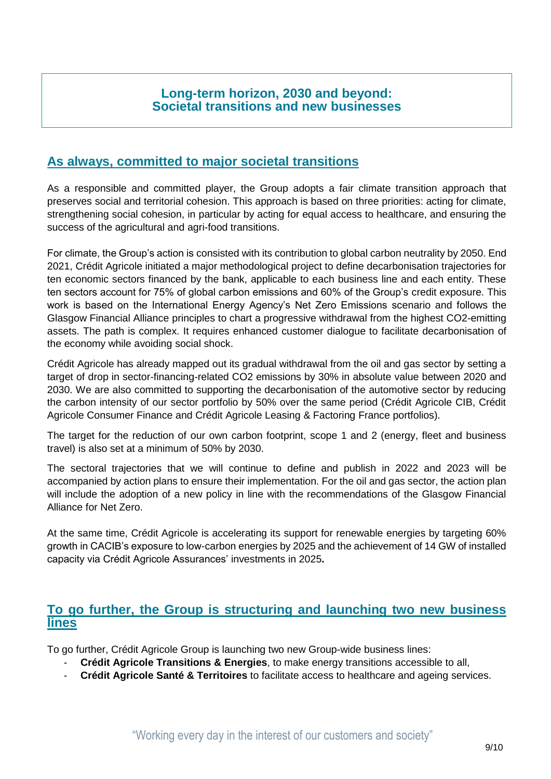### **Long-term horizon, 2030 and beyond: Societal transitions and new businesses**

## **As always, committed to major societal transitions**

As a responsible and committed player, the Group adopts a fair climate transition approach that preserves social and territorial cohesion. This approach is based on three priorities: acting for climate, strengthening social cohesion, in particular by acting for equal access to healthcare, and ensuring the success of the agricultural and agri-food transitions.

For climate, the Group's action is consisted with its contribution to global carbon neutrality by 2050. End 2021, Crédit Agricole initiated a major methodological project to define decarbonisation trajectories for ten economic sectors financed by the bank, applicable to each business line and each entity. These ten sectors account for 75% of global carbon emissions and 60% of the Group's credit exposure. This work is based on the International Energy Agency's Net Zero Emissions scenario and follows the Glasgow Financial Alliance principles to chart a progressive withdrawal from the highest CO2-emitting assets. The path is complex. It requires enhanced customer dialogue to facilitate decarbonisation of the economy while avoiding social shock.

Crédit Agricole has already mapped out its gradual withdrawal from the oil and gas sector by setting a target of drop in sector-financing-related CO2 emissions by 30% in absolute value between 2020 and 2030. We are also committed to supporting the decarbonisation of the automotive sector by reducing the carbon intensity of our sector portfolio by 50% over the same period (Crédit Agricole CIB, Crédit Agricole Consumer Finance and Crédit Agricole Leasing & Factoring France portfolios).

The target for the reduction of our own carbon footprint, scope 1 and 2 (energy, fleet and business travel) is also set at a minimum of 50% by 2030.

The sectoral trajectories that we will continue to define and publish in 2022 and 2023 will be accompanied by action plans to ensure their implementation. For the oil and gas sector, the action plan will include the adoption of a new policy in line with the recommendations of the Glasgow Financial Alliance for Net Zero.

At the same time, Crédit Agricole is accelerating its support for renewable energies by targeting 60% growth in CACIB's exposure to low-carbon energies by 2025 and the achievement of 14 GW of installed capacity via Crédit Agricole Assurances' investments in 2025**.**

### **To go further, the Group is structuring and launching two new business lines**

To go further, Crédit Agricole Group is launching two new Group-wide business lines:

- **Crédit Agricole Transitions & Energies**, to make energy transitions accessible to all,
- **Crédit Agricole Santé & Territoires** to facilitate access to healthcare and ageing services.